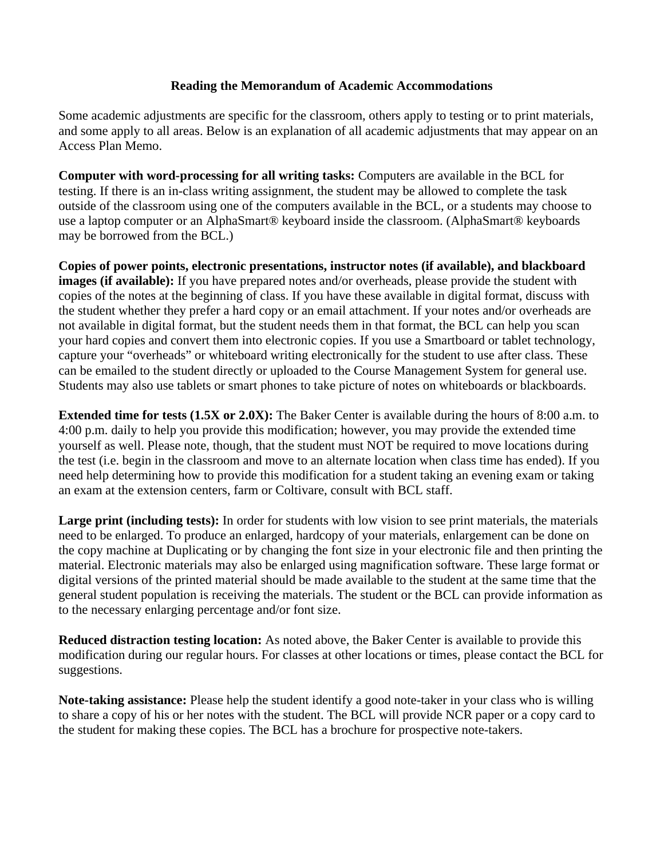## **Reading the Memorandum of Academic Accommodations**

Some academic adjustments are specific for the classroom, others apply to testing or to print materials, and some apply to all areas. Below is an explanation of all academic adjustments that may appear on an Access Plan Memo.

**Computer with word-processing for all writing tasks:** Computers are available in the BCL for testing. If there is an in-class writing assignment, the student may be allowed to complete the task outside of the classroom using one of the computers available in the BCL, or a students may choose to use a laptop computer or an AlphaSmart® keyboard inside the classroom. (AlphaSmart® keyboards may be borrowed from the BCL.)

**Copies of power points, electronic presentations, instructor notes (if available), and blackboard images (if available):** If you have prepared notes and/or overheads, please provide the student with copies of the notes at the beginning of class. If you have these available in digital format, discuss with the student whether they prefer a hard copy or an email attachment. If your notes and/or overheads are not available in digital format, but the student needs them in that format, the BCL can help you scan your hard copies and convert them into electronic copies. If you use a Smartboard or tablet technology, capture your "overheads" or whiteboard writing electronically for the student to use after class. These can be emailed to the student directly or uploaded to the Course Management System for general use. Students may also use tablets or smart phones to take picture of notes on whiteboards or blackboards.

**Extended time for tests (1.5X or 2.0X):** The Baker Center is available during the hours of 8:00 a.m. to 4:00 p.m. daily to help you provide this modification; however, you may provide the extended time yourself as well. Please note, though, that the student must NOT be required to move locations during the test (i.e. begin in the classroom and move to an alternate location when class time has ended). If you need help determining how to provide this modification for a student taking an evening exam or taking an exam at the extension centers, farm or Coltivare, consult with BCL staff.

**Large print (including tests):** In order for students with low vision to see print materials, the materials need to be enlarged. To produce an enlarged, hardcopy of your materials, enlargement can be done on the copy machine at Duplicating or by changing the font size in your electronic file and then printing the material. Electronic materials may also be enlarged using magnification software. These large format or digital versions of the printed material should be made available to the student at the same time that the general student population is receiving the materials. The student or the BCL can provide information as to the necessary enlarging percentage and/or font size.

**Reduced distraction testing location:** As noted above, the Baker Center is available to provide this modification during our regular hours. For classes at other locations or times, please contact the BCL for suggestions.

**Note-taking assistance:** Please help the student identify a good note-taker in your class who is willing to share a copy of his or her notes with the student. The BCL will provide NCR paper or a copy card to the student for making these copies. The BCL has a brochure for prospective note-takers.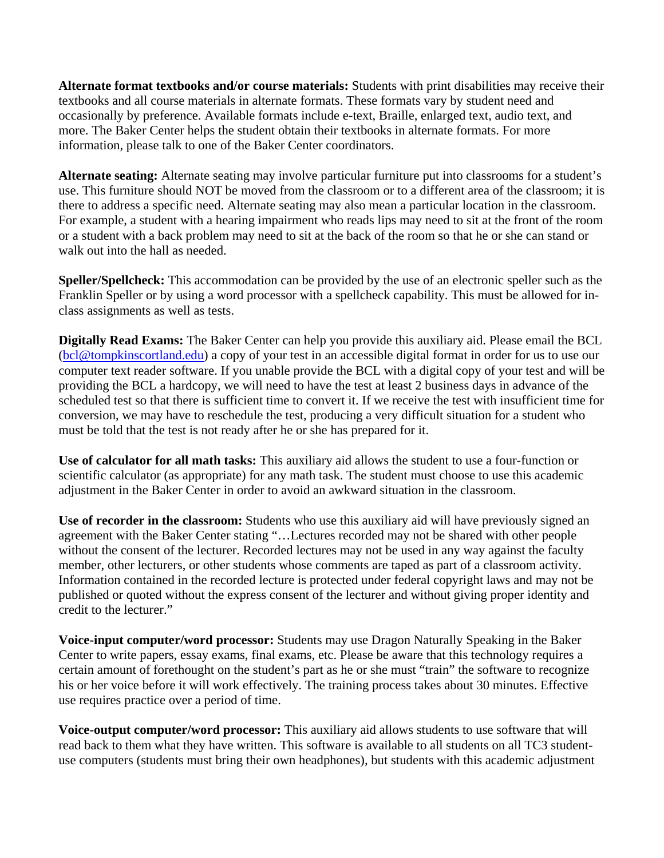**Alternate format textbooks and/or course materials:** Students with print disabilities may receive their textbooks and all course materials in alternate formats. These formats vary by student need and occasionally by preference. Available formats include e-text, Braille, enlarged text, audio text, and more. The Baker Center helps the student obtain their textbooks in alternate formats. For more information, please talk to one of the Baker Center coordinators.

**Alternate seating:** Alternate seating may involve particular furniture put into classrooms for a student's use. This furniture should NOT be moved from the classroom or to a different area of the classroom; it is there to address a specific need. Alternate seating may also mean a particular location in the classroom. For example, a student with a hearing impairment who reads lips may need to sit at the front of the room or a student with a back problem may need to sit at the back of the room so that he or she can stand or walk out into the hall as needed.

**Speller/Spellcheck:** This accommodation can be provided by the use of an electronic speller such as the Franklin Speller or by using a word processor with a spellcheck capability. This must be allowed for inclass assignments as well as tests.

**Digitally Read Exams:** The Baker Center can help you provide this auxiliary aid. Please email the BCL [\(bcl@tompkinscortland.edu\)](http://www.tc3.edu/BCL/bcl@tompkinscortland.edu) a copy of your test in an accessible digital format in order for us to use our computer text reader software. If you unable provide the BCL with a digital copy of your test and will be providing the BCL a hardcopy, we will need to have the test at least 2 business days in advance of the scheduled test so that there is sufficient time to convert it. If we receive the test with insufficient time for conversion, we may have to reschedule the test, producing a very difficult situation for a student who must be told that the test is not ready after he or she has prepared for it.

**Use of calculator for all math tasks:** This auxiliary aid allows the student to use a four-function or scientific calculator (as appropriate) for any math task. The student must choose to use this academic adjustment in the Baker Center in order to avoid an awkward situation in the classroom.

**Use of recorder in the classroom:** Students who use this auxiliary aid will have previously signed an agreement with the Baker Center stating "…Lectures recorded may not be shared with other people without the consent of the lecturer. Recorded lectures may not be used in any way against the faculty member, other lecturers, or other students whose comments are taped as part of a classroom activity. Information contained in the recorded lecture is protected under federal copyright laws and may not be published or quoted without the express consent of the lecturer and without giving proper identity and credit to the lecturer."

**Voice-input computer/word processor:** Students may use Dragon Naturally Speaking in the Baker Center to write papers, essay exams, final exams, etc. Please be aware that this technology requires a certain amount of forethought on the student's part as he or she must "train" the software to recognize his or her voice before it will work effectively. The training process takes about 30 minutes. Effective use requires practice over a period of time.

**Voice-output computer/word processor:** This auxiliary aid allows students to use software that will read back to them what they have written. This software is available to all students on all TC3 studentuse computers (students must bring their own headphones), but students with this academic adjustment